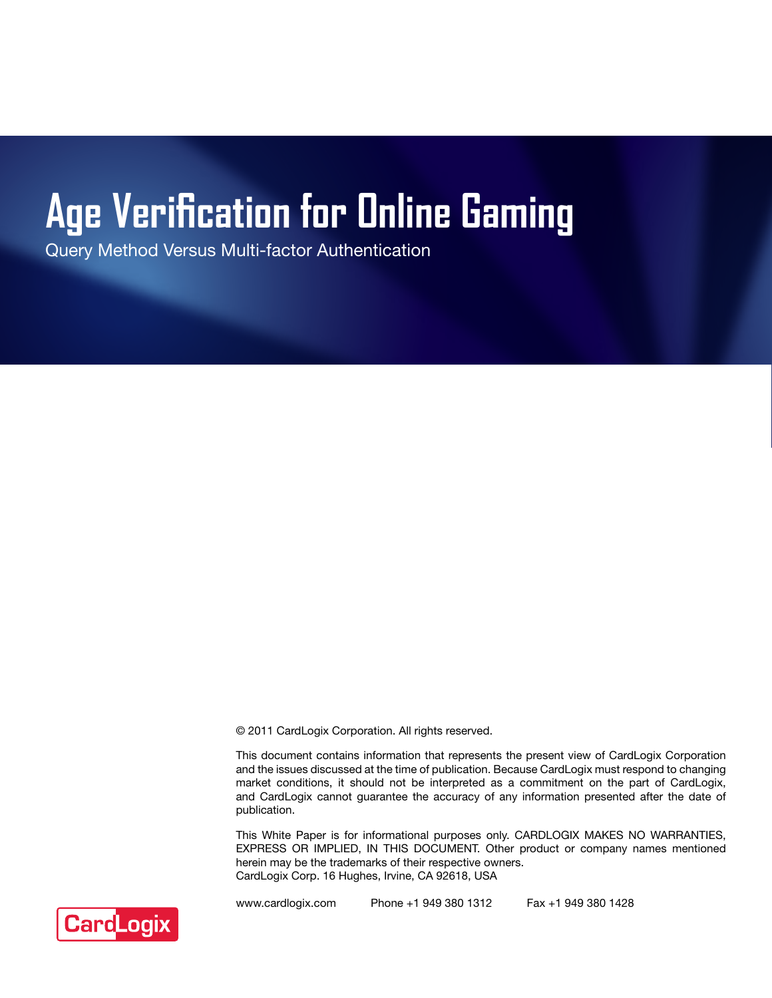# **Age Verification for Online Gaming**

Query Method Versus Multi-factor Authentication

© 2011 CardLogix Corporation. All rights reserved.

This document contains information that represents the present view of CardLogix Corporation and the issues discussed at the time of publication. Because CardLogix must respond to changing market conditions, it should not be interpreted as a commitment on the part of CardLogix, and CardLogix cannot guarantee the accuracy of any information presented after the date of publication.

This White Paper is for informational purposes only. CARDLOGIX MAKES NO WARRANTIES, EXPRESS OR IMPLIED, IN THIS DOCUMENT. Other product or company names mentioned herein may be the trademarks of their respective owners. CardLogix Corp. 16 Hughes, Irvine, CA 92618, USA



www.cardlogix.com Phone +1 949 380 1312 Fax +1 949 380 1428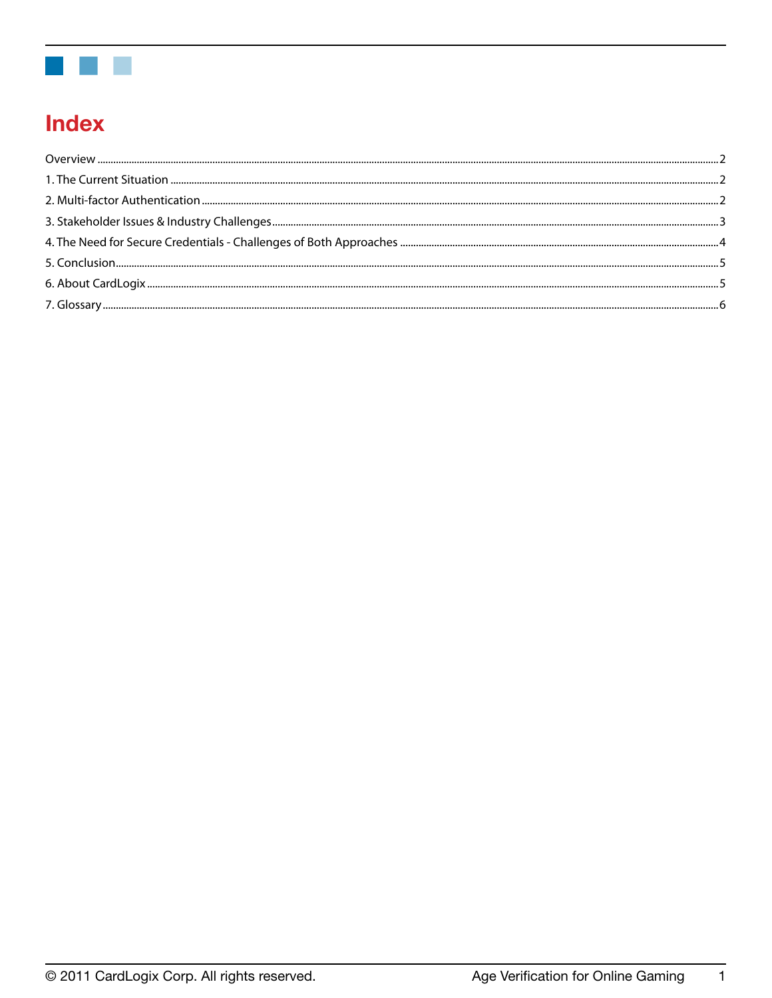

# **Index**

 $\mathbf{1}$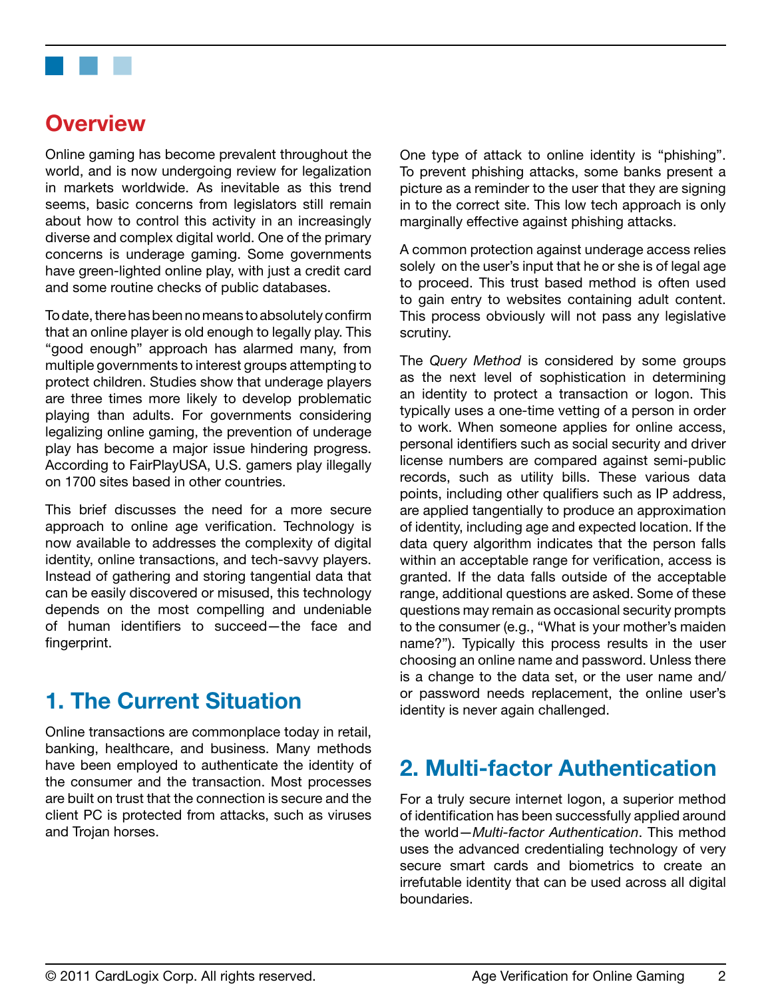<span id="page-2-0"></span>

# **Overview**

Online gaming has become prevalent throughout the world, and is now undergoing review for legalization in markets worldwide. As inevitable as this trend seems, basic concerns from legislators still remain about how to control this activity in an increasingly diverse and complex digital world. One of the primary concerns is underage gaming. Some governments have green-lighted online play, with just a credit card and some routine checks of public databases.

To date, there has been no means to absolutely confirm that an online player is old enough to legally play. This "good enough" approach has alarmed many, from multiple governments to interest groups attempting to protect children. Studies show that underage players are three times more likely to develop problematic playing than adults. For governments considering legalizing online gaming, the prevention of underage play has become a major issue hindering progress. According to FairPlayUSA, U.S. gamers play illegally on 1700 sites based in other countries.

This brief discusses the need for a more secure approach to online age verification. Technology is now available to addresses the complexity of digital identity, online transactions, and tech-savvy players. Instead of gathering and storing tangential data that can be easily discovered or misused, this technology depends on the most compelling and undeniable of human identifiers to succeed—the face and fingerprint.

# **1. The Current Situation**

Online transactions are commonplace today in retail, banking, healthcare, and business. Many methods have been employed to authenticate the identity of the consumer and the transaction. Most processes are built on trust that the connection is secure and the client PC is protected from attacks, such as viruses and Trojan horses.

One type of attack to online identity is "phishing". To prevent phishing attacks, some banks present a picture as a reminder to the user that they are signing in to the correct site. This low tech approach is only marginally effective against phishing attacks.

A common protection against underage access relies solely on the user's input that he or she is of legal age to proceed. This trust based method is often used to gain entry to websites containing adult content. This process obviously will not pass any legislative scrutiny.

The *Query Method* is considered by some groups as the next level of sophistication in determining an identity to protect a transaction or logon. This typically uses a one-time vetting of a person in order to work. When someone applies for online access, personal identifiers such as social security and driver license numbers are compared against semi-public records, such as utility bills. These various data points, including other qualifiers such as IP address, are applied tangentially to produce an approximation of identity, including age and expected location. If the data query algorithm indicates that the person falls within an acceptable range for verification, access is granted. If the data falls outside of the acceptable range, additional questions are asked. Some of these questions may remain as occasional security prompts to the consumer (e.g., "What is your mother's maiden name?"). Typically this process results in the user choosing an online name and password. Unless there is a change to the data set, or the user name and/ or password needs replacement, the online user's identity is never again challenged.

# **2. Multi-factor Authentication**

For a truly secure internet logon, a superior method of identification has been successfully applied around the world—*Multi-factor Authentication*. This method uses the advanced credentialing technology of very secure smart cards and biometrics to create an irrefutable identity that can be used across all digital boundaries.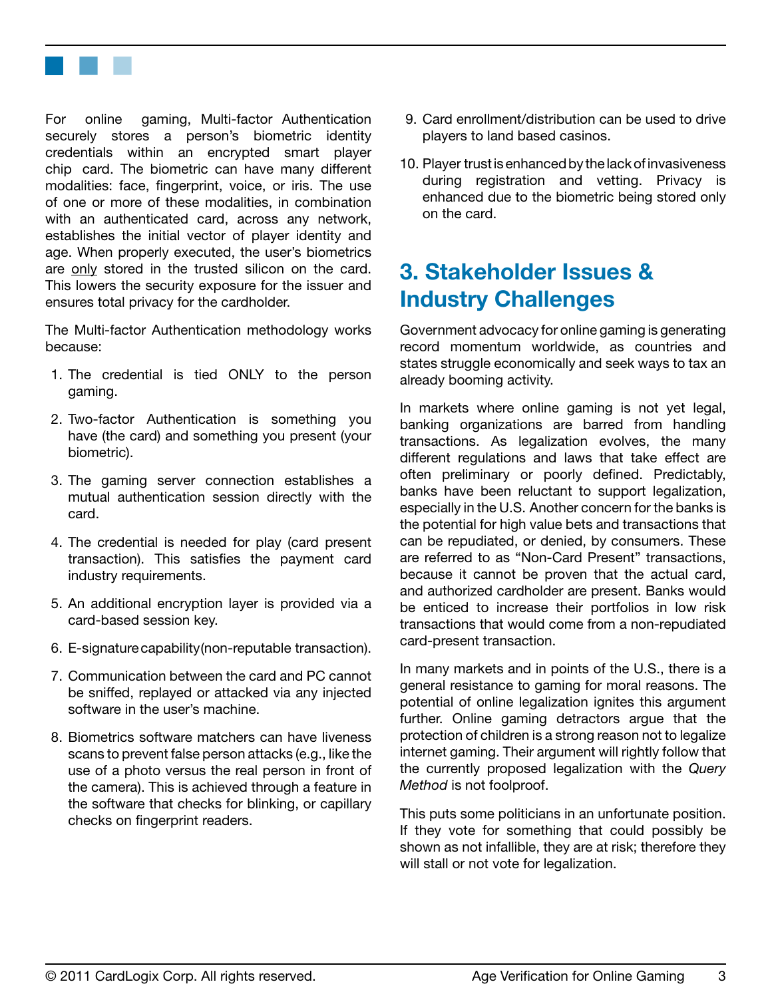<span id="page-3-0"></span>

For online gaming, Multi-factor Authentication securely stores a person's biometric identity credentials within an encrypted smart player chip card. The biometric can have many different modalities: face, fingerprint, voice, or iris. The use of one or more of these modalities, in combination with an authenticated card, across any network, establishes the initial vector of player identity and age. When properly executed, the user's biometrics are only stored in the trusted silicon on the card. This lowers the security exposure for the issuer and ensures total privacy for the cardholder.

The Multi-factor Authentication methodology works because:

- 1. The credential is tied ONLY to the person gaming.
- 2. Two-factor Authentication is something you have (the card) and something you present (your biometric).
- 3. The gaming server connection establishes a mutual authentication session directly with the card.
- 4. The credential is needed for play (card present transaction). This satisfies the payment card industry requirements.
- 5. An additional encryption layer is provided via a card-based session key.
- 6. E-signaturecapability(non-reputable transaction).
- 7. Communication between the card and PC cannot be sniffed, replayed or attacked via any injected software in the user's machine.
- 8. Biometrics software matchers can have liveness scans to prevent false person attacks (e.g., like the use of a photo versus the real person in front of the camera). This is achieved through a feature in the software that checks for blinking, or capillary checks on fingerprint readers.
- 9. Card enrollment/distribution can be used to drive players to land based casinos.
- 10. Player trust is enhanced by the lack of invasiveness during registration and vetting. Privacy is enhanced due to the biometric being stored only on the card.

# **3. Stakeholder Issues & Industry Challenges**

Government advocacy for online gaming is generating record momentum worldwide, as countries and states struggle economically and seek ways to tax an already booming activity.

In markets where online gaming is not yet legal, banking organizations are barred from handling transactions. As legalization evolves, the many different regulations and laws that take effect are often preliminary or poorly defined. Predictably, banks have been reluctant to support legalization, especially in the U.S. Another concern for the banks is the potential for high value bets and transactions that can be repudiated, or denied, by consumers. These are referred to as "Non-Card Present" transactions, because it cannot be proven that the actual card, and authorized cardholder are present. Banks would be enticed to increase their portfolios in low risk transactions that would come from a non-repudiated card-present transaction.

In many markets and in points of the U.S., there is a general resistance to gaming for moral reasons. The potential of online legalization ignites this argument further. Online gaming detractors argue that the protection of children is a strong reason not to legalize internet gaming. Their argument will rightly follow that the currently proposed legalization with the *Query Method* is not foolproof.

This puts some politicians in an unfortunate position. If they vote for something that could possibly be shown as not infallible, they are at risk; therefore they will stall or not vote for legalization.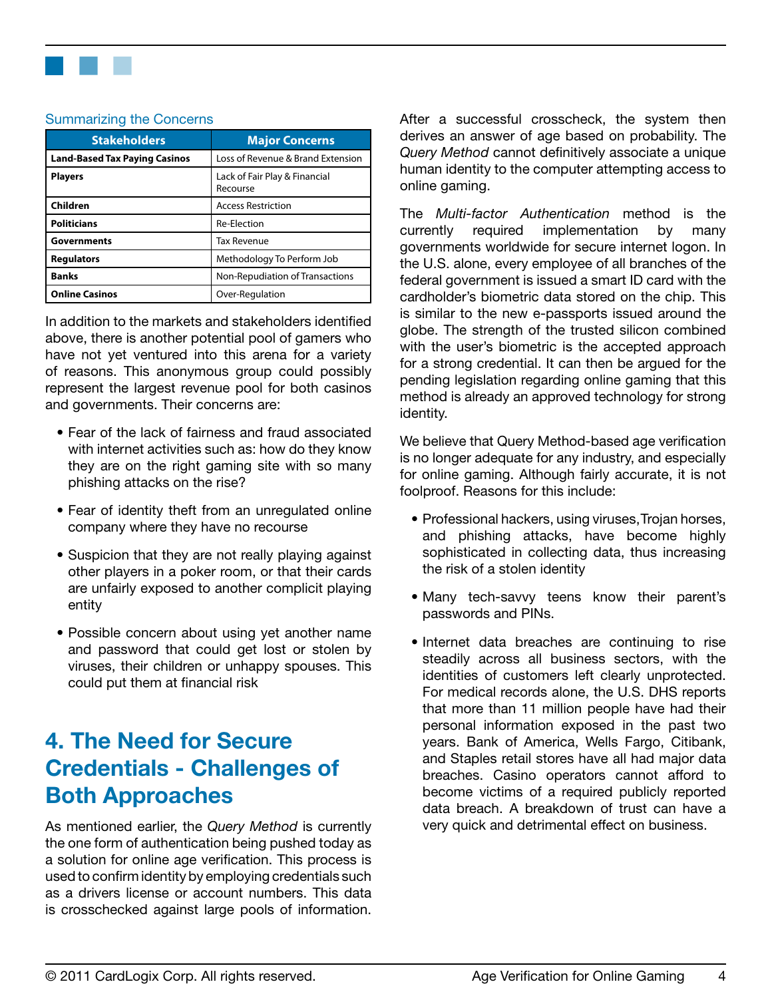<span id="page-4-0"></span>

#### Summarizing the Concerns

| <b>Stakeholders</b>                  | <b>Major Concerns</b>                     |  |
|--------------------------------------|-------------------------------------------|--|
| <b>Land-Based Tax Paying Casinos</b> | Loss of Revenue & Brand Extension         |  |
| <b>Players</b>                       | Lack of Fair Play & Financial<br>Recourse |  |
| Children                             | <b>Access Restriction</b>                 |  |
| <b>Politicians</b>                   | Re-Election                               |  |
| <b>Governments</b>                   | Tax Revenue                               |  |
| <b>Regulators</b>                    | Methodology To Perform Job                |  |
| <b>Banks</b>                         | Non-Repudiation of Transactions           |  |
| <b>Online Casinos</b>                | Over-Regulation                           |  |

In addition to the markets and stakeholders identified above, there is another potential pool of gamers who have not yet ventured into this arena for a variety of reasons. This anonymous group could possibly represent the largest revenue pool for both casinos and governments. Their concerns are:

- Fear of the lack of fairness and fraud associated with internet activities such as: how do they know they are on the right gaming site with so many phishing attacks on the rise?
- Fear of identity theft from an unregulated online company where they have no recourse
- Suspicion that they are not really playing against other players in a poker room, or that their cards are unfairly exposed to another complicit playing entity
- Possible concern about using yet another name and password that could get lost or stolen by viruses, their children or unhappy spouses. This could put them at financial risk

# **4. The Need for Secure Credentials - Challenges of Both Approaches**

As mentioned earlier, the *Query Method* is currently the one form of authentication being pushed today as a solution for online age verification. This process is used to confirm identity by employing credentials such as a drivers license or account numbers. This data is crosschecked against large pools of information.

After a successful crosscheck, the system then derives an answer of age based on probability. The *Query Method* cannot definitively associate a unique human identity to the computer attempting access to online gaming.

The *Multi-factor Authentication* method is the currently required implementation by many governments worldwide for secure internet logon. In the U.S. alone, every employee of all branches of the federal government is issued a smart ID card with the cardholder's biometric data stored on the chip. This is similar to the new e-passports issued around the globe. The strength of the trusted silicon combined with the user's biometric is the accepted approach for a strong credential. It can then be argued for the pending legislation regarding online gaming that this method is already an approved technology for strong identity.

We believe that Query Method-based age verification is no longer adequate for any industry, and especially for online gaming. Although fairly accurate, it is not foolproof. Reasons for this include:

- Professional hackers, using viruses, Trojan horses, and phishing attacks, have become highly sophisticated in collecting data, thus increasing the risk of a stolen identity
- Many tech-savvy teens know their parent's passwords and PINs.
- Internet data breaches are continuing to rise steadily across all business sectors, with the identities of customers left clearly unprotected. For medical records alone, the U.S. DHS reports that more than 11 million people have had their personal information exposed in the past two years. Bank of America, Wells Fargo, Citibank, and Staples retail stores have all had major data breaches. Casino operators cannot afford to become victims of a required publicly reported data breach. A breakdown of trust can have a very quick and detrimental effect on business.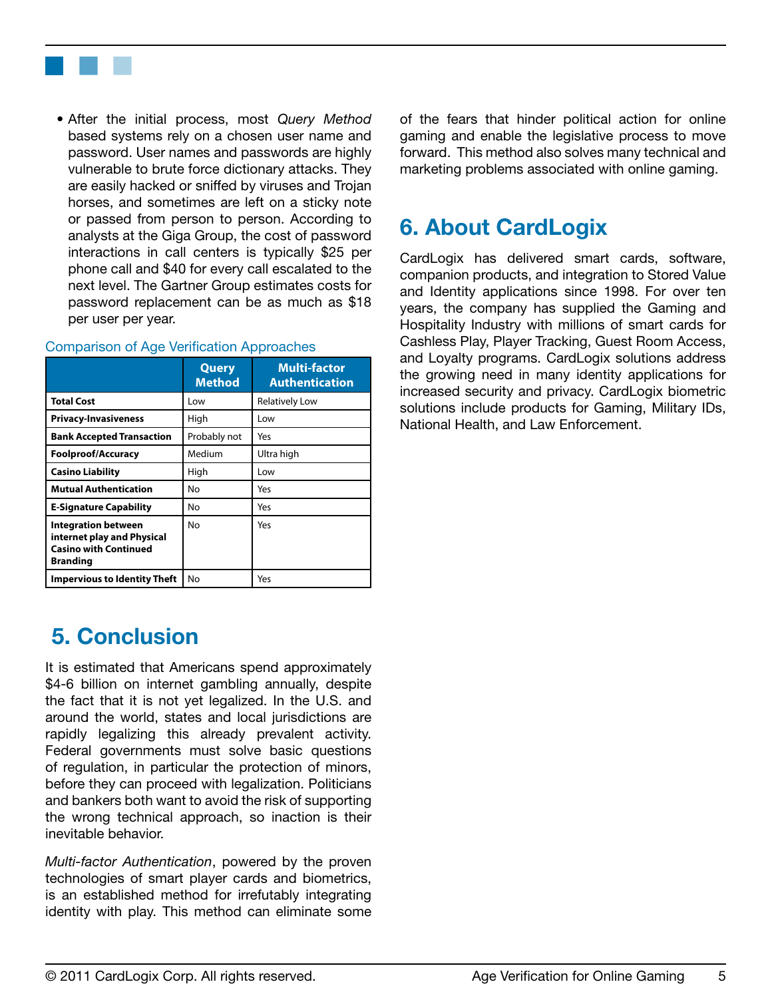<span id="page-5-0"></span>

• After the initial process, most *Query Method* based systems rely on a chosen user name and password. User names and passwords are highly vulnerable to brute force dictionary attacks. They are easily hacked or sniffed by viruses and Trojan horses, and sometimes are left on a sticky note or passed from person to person. According to analysts at the Giga Group, the cost of password interactions in call centers is typically \$25 per phone call and \$40 for every call escalated to the next level. The Gartner Group estimates costs for password replacement can be as much as \$18 per user per year.

|                                                                                                             | Query<br><b>Method</b> | <b>Multi-factor</b><br><b>Authentication</b> |
|-------------------------------------------------------------------------------------------------------------|------------------------|----------------------------------------------|
| <b>Total Cost</b>                                                                                           | Low                    | <b>Relatively Low</b>                        |
| <b>Privacy-Invasiveness</b>                                                                                 | High                   | Low                                          |
| <b>Bank Accepted Transaction</b>                                                                            | Probably not           | Yes                                          |
| <b>Foolproof/Accuracy</b>                                                                                   | Medium                 | Ultra high                                   |
| <b>Casino Liability</b>                                                                                     | High                   | Low                                          |
| <b>Mutual Authentication</b>                                                                                | No                     | Yes                                          |
| <b>E-Signature Capability</b>                                                                               | No                     | Yes                                          |
| <b>Integration between</b><br>internet play and Physical<br><b>Casino with Continued</b><br><b>Branding</b> | No                     | Yes                                          |
| <b>Impervious to Identity Theft</b>                                                                         | No                     | Yes                                          |

#### Comparison of Age Verification Approaches

### **5. Conclusion**

It is estimated that Americans spend approximately \$4-6 billion on internet gambling annually, despite the fact that it is not yet legalized. In the U.S. and around the world, states and local jurisdictions are rapidly legalizing this already prevalent activity. Federal governments must solve basic questions of regulation, in particular the protection of minors, before they can proceed with legalization. Politicians and bankers both want to avoid the risk of supporting the wrong technical approach, so inaction is their inevitable behavior.

*Multi-factor Authentication*, powered by the proven technologies of smart player cards and biometrics, is an established method for irrefutably integrating identity with play. This method can eliminate some of the fears that hinder political action for online gaming and enable the legislative process to move forward. This method also solves many technical and marketing problems associated with online gaming.

# **6. About CardLogix**

CardLogix has delivered smart cards, software, companion products, and integration to Stored Value and Identity applications since 1998. For over ten years, the company has supplied the Gaming and Hospitality Industry with millions of smart cards for Cashless Play, Player Tracking, Guest Room Access, and Loyalty programs. CardLogix solutions address the growing need in many identity applications for increased security and privacy. CardLogix biometric solutions include products for Gaming, Military IDs, National Health, and Law Enforcement.